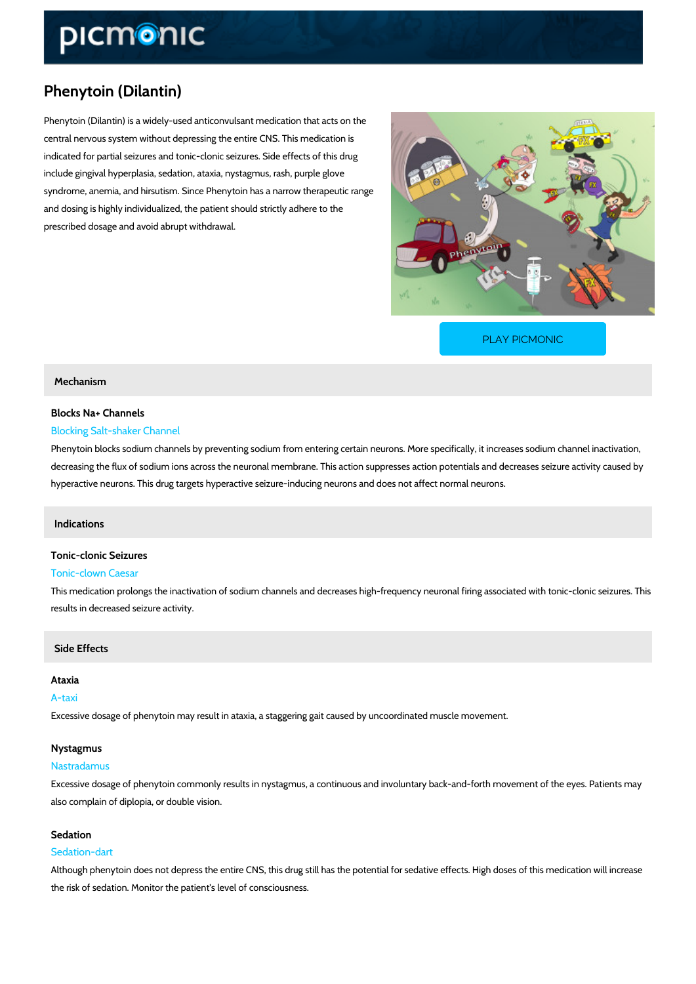# Phenytoin (Dilantin)

Phenytoin (Dilantin) is a widely-used anticonvulsant medication that acts on the central nervous system without depressing the entire CNS. This medication is indicated for partial seizures and tonic-clonic seizures. Side effects of this drug include gingival hyperplasia, sedation, ataxia, nystagmus, rash, purple glove syndrome, anemia, and hirsutism. Since Phenytoin has a narrow therapeutic range and dosing is highly individualized, the patient should strictly adhere to the prescribed dosage and avoid abrupt withdrawal.

[PLAY PICMONIC](https://www.picmonic.com/learn/phenytoin-dilantin_1881?utm_source=downloadable_content&utm_medium=distributedcontent&utm_campaign=pathways_pdf&utm_content=Phenytoin (Dilantin)&utm_ad_group=leads&utm_market=all)

# Mechanism

# Blocks Na+ Channels Blocking Salt-shaker Channel

Phenytoin blocks sodium channels by preventing sodium from entering certain neurons. More s decreasing the flux of sodium ions across the neuronal membrane. This action suppresses act hyperactive neurons. This drug targets hyperactive seizure-inducing neurons and does not aff

## Indications

# Tonic-clonic Seizures

# Tonic-clown Caesar

This medication prolongs the inactivation of sodium channels and decreases high-frequency net results in decreased seizure activity.

# Side Effects

#### Ataxia

## A-taxi

Excessive dosage of phenytoin may result in ataxia, a staggering gait caused by uncoordinate

## Nystagmus

#### Nastradamus

Excessive dosage of phenytoin commonly results in nystagmus, a continuous and involuntary backalso complain of diplopia, or double vision.

#### Sedation

#### Sedation-dart

Although phenytoin does not depress the entire CNS, this drug still has the potential for seda the risk of sedation. Monitor the patient's level of consciousness.